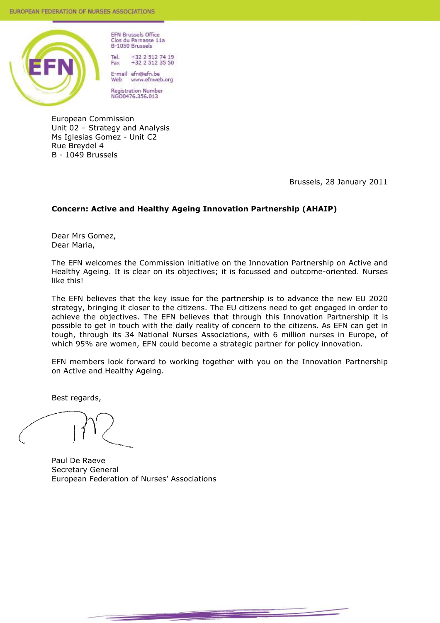

**EFN Brussels Office** Clos du Parnasse 11a B-1050 Brussels

+32 2 512 74 19<br>+32 2 512 35 50 Tel Fax

E-mail efn@efn.be www.efnweb.org Web

Registration Number<br>NGO0476.356.013

European Commission Unit 02 – Strategy and Analysis Ms Iglesias Gomez - Unit C2 Rue Breydel 4 B - 1049 Brussels

Brussels, 28 January 2011

# **Concern: Active and Healthy Ageing Innovation Partnership (AHAIP)**

Dear Mrs Gomez, Dear Maria,

The EFN welcomes the Commission initiative on the Innovation Partnership on Active and Healthy Ageing. It is clear on its objectives; it is focussed and outcome-oriented. Nurses like this!

The EFN believes that the key issue for the partnership is to advance the new EU 2020 strategy, bringing it closer to the citizens. The EU citizens need to get engaged in order to achieve the objectives. The EFN believes that through this Innovation Partnership it is possible to get in touch with the daily reality of concern to the citizens. As EFN can get in tough, through its 34 National Nurses Associations, with 6 million nurses in Europe, of which 95% are women, EFN could become a strategic partner for policy innovation.

EFN members look forward to working together with you on the Innovation Partnership on Active and Healthy Ageing.

Best regards,

Paul De Raeve Secretary General European Federation of Nurses' Associations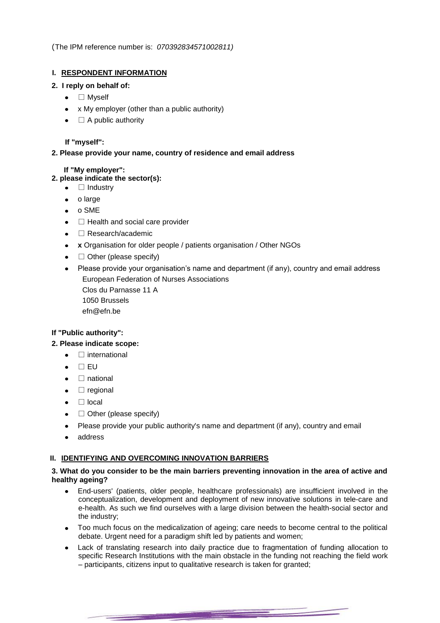(The IPM reference number is: *070392834571002811)*

# **I. RESPONDENT INFORMATION**

## **2. I reply on behalf of:**

- □ Myself
- x My employer (other than a public authority)
- $\bullet$   $\Box$  A public authority

# **If "myself":**

# **2. Please provide your name, country of residence and email address**

# **If "My employer":**

- **2. please indicate the sector(s):**
	- $\bullet$   $\Box$  Industry
	- o large
	- o SME
	- $\bullet$   $\Box$  Health and social care provider
	- $\bullet$   $\Box$  Research/academic
	- **x** Organisation for older people / patients organisation / Other NGOs
	- $\bullet$   $\Box$  Other (please specify)
	- Please provide your organisation"s name and department (if any), country and email address European Federation of Nurses Associations

Clos du Parnasse 11 A 1050 Brussels

[efn@efn.be](mailto:efn@efn.be)

# **If "Public authority":**

# **2. Please indicate scope:**

- $\bullet$   $\Box$  international
- $\bullet$   $\Box$  EU
- $\bullet$   $\Box$  national
- $\bullet$   $\Box$  regional
- $\bullet$   $\Box$  local
- $\bullet$   $\Box$  Other (please specify)
- Please provide your public authority's name and department (if any), country and email
- address

## **II. IDENTIFYING AND OVERCOMING INNOVATION BARRIERS**

## **3. What do you consider to be the main barriers preventing innovation in the area of active and healthy ageing?**

- End-users' (patients, older people, healthcare professionals) are insufficient involved in the conceptualization, development and deployment of new innovative solutions in tele-care and e-health. As such we find ourselves with a large division between the health-social sector and the industry;
- Too much focus on the medicalization of ageing; care needs to become central to the political debate. Urgent need for a paradigm shift led by patients and women;
- Lack of translating research into daily practice due to fragmentation of funding allocation to specific Research Institutions with the main obstacle in the funding not reaching the field work – participants, citizens input to qualitative research is taken for granted;

<u> Mariji (Mariji) (Mariji) (Mariji) (Mariji) (Mariji) (Mariji) (Mariji) (Mariji) (Mariji) (Mariji) (Mariji) (Ma</u>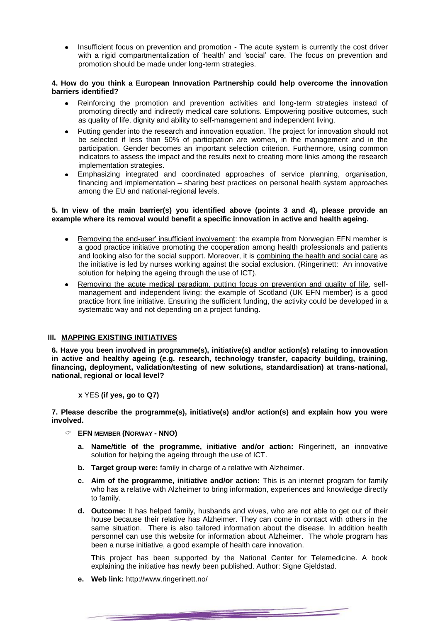• Insufficient focus on prevention and promotion - The acute system is currently the cost driver with a rigid compartmentalization of "health" and "social" care. The focus on prevention and promotion should be made under long-term strategies.

## **4. How do you think a European Innovation Partnership could help overcome the innovation barriers identified?**

- Reinforcing the promotion and prevention activities and long-term strategies instead of promoting directly and indirectly medical care solutions. Empowering positive outcomes, such as quality of life, dignity and ability to self-management and independent living.
- Putting gender into the research and innovation equation. The project for innovation should not be selected if less than 50% of participation are women, in the management and in the participation. Gender becomes an important selection criterion. Furthermore, using common indicators to assess the impact and the results next to creating more links among the research implementation strategies.
- Emphasizing integrated and coordinated approaches of service planning, organisation, financing and implementation – sharing best practices on personal health system approaches among the EU and national-regional levels.

## **5. In view of the main barrier(s) you identified above (points 3 and 4), please provide an example where its removal would benefit a specific innovation in active and health ageing.**

- Removing the end-user" insufficient involvement: the example from Norwegian EFN member is a good practice initiative promoting the cooperation among health professionals and patients and looking also for the social support. Moreover, it is combining the health and social care as the initiative is led by nurses working against the social exclusion. (Ringerinett: An innovative solution for helping the ageing through the use of ICT).
- Removing the acute medical paradigm, putting focus on prevention and quality of life, selfmanagement and independent living: the example of Scotland (UK EFN member) is a good practice front line initiative. Ensuring the sufficient funding, the activity could be developed in a systematic way and not depending on a project funding.

## **III. MAPPING EXISTING INITIATIVES**

**6. Have you been involved in programme(s), initiative(s) and/or action(s) relating to innovation in active and healthy ageing (e.g. research, technology transfer, capacity building, training, financing, deployment, validation/testing of new solutions, standardisation) at trans-national, national, regional or local level?**

**x** YES **(if yes, go to Q7)**

## **7. Please describe the programme(s), initiative(s) and/or action(s) and explain how you were involved.**

- **EFN MEMBER (NORWAY - NNO)**
	- **a. Name/title of the programme, initiative and/or action:** Ringerinett, an innovative solution for helping the ageing through the use of ICT.
	- **b. Target group were:** family in charge of a relative with Alzheimer.
	- **c. Aim of the programme, initiative and/or action:** This is an internet program for family who has a relative with Alzheimer to bring information, experiences and knowledge directly to family.
	- **d. Outcome:** It has helped family, husbands and wives, who are not able to get out of their house because their relative has Alzheimer. They can come in contact with others in the same situation. There is also tailored information about the disease. In addition health personnel can use this website for information about Alzheimer. The whole program has been a nurse initiative, a good example of health care innovation.

This project has been supported by the National Center for Telemedicine. A book explaining the initiative has newly been published. Author: Signe Gieldstad.

**e. Web link:** <http://www.ringerinett.no/>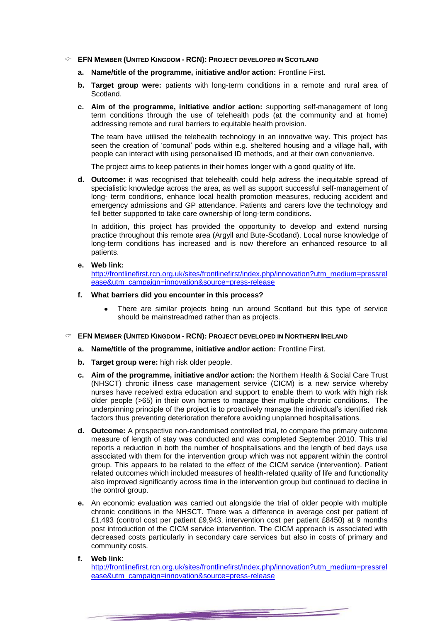#### **EFN MEMBER (UNITED KINGDOM - RCN): PROJECT DEVELOPED IN SCOTLAND**

- **a. Name/title of the programme, initiative and/or action:** Frontline First.
- **b. Target group were:** patients with long-term conditions in a remote and rural area of Scotland.
- **c. Aim of the programme, initiative and/or action:** supporting self-management of long term conditions through the use of telehealth pods (at the community and at home) addressing remote and rural barriers to equitable health provision.

The team have utilised the telehealth technology in an innovative way. This project has seen the creation of "comunal" pods within e.g. sheltered housing and a village hall, with people can interact with using personalised ID methods, and at their own convenienve.

The project aims to keep patients in their homes longer with a good quality of life.

**d.** Outcome: it was recognised that telehealth could help adress the inequitable spread of specialistic knowledge across the area, as well as support successful self-management of long- term conditions, enhance local health promotion measures, reducing accident and emergency admissions and GP attendance. Patients and carers love the technology and fell better supported to take care ownership of long-term conditions.

In addition, this project has provided the opportunity to develop and extend nursing practice throughout this remote area (Argyll and Bute-Scotland). Local nurse knowledge of long-term conditions has increased and is now therefore an enhanced resource to all patients.

**e. Web link:**

[http://frontlinefirst.rcn.org.uk/sites/frontlinefirst/index.php/innovation?utm\\_medium=pressrel](http://frontlinefirst.rcn.org.uk/sites/frontlinefirst/index.php/innovation?utm_medium=pressrelease&utm_campaign=innovation&source=press-release) [ease&utm\\_campaign=innovation&source=press-release](http://frontlinefirst.rcn.org.uk/sites/frontlinefirst/index.php/innovation?utm_medium=pressrelease&utm_campaign=innovation&source=press-release)

- **f. What barriers did you encounter in this process?**
	- There are similar projects being run around Scotland but this type of service should be mainstreadmed rather than as projects.

**EFN MEMBER (UNITED KINGDOM - RCN): PROJECT DEVELOPED IN NORTHERN IRELAND**

- **a. Name/title of the programme, initiative and/or action:** Frontline First.
- **b. Target group were:** high risk older people.
- **c. Aim of the programme, initiative and/or action:** the Northern Health & Social Care Trust (NHSCT) chronic illness case management service (CICM) is a new service whereby nurses have received extra education and support to enable them to work with high risk older people (>65) in their own homes to manage their multiple chronic conditions. The underpinning principle of the project is to proactively manage the individual"s identified risk factors thus preventing deterioration therefore avoiding unplanned hospitalisations.
- **d. Outcome:** A prospective non-randomised controlled trial, to compare the primary outcome measure of length of stay was conducted and was completed September 2010. This trial reports a reduction in both the number of hospitalisations and the length of bed days use associated with them for the intervention group which was not apparent within the control group. This appears to be related to the effect of the CICM service (intervention). Patient related outcomes which included measures of health-related quality of life and functionality also improved significantly across time in the intervention group but continued to decline in the control group.
- **e.** An economic evaluation was carried out alongside the trial of older people with multiple chronic conditions in the NHSCT. There was a difference in average cost per patient of £1,493 (control cost per patient £9,943, intervention cost per patient £8450) at 9 months post introduction of the CICM service intervention. The CICM approach is associated with decreased costs particularly in secondary care services but also in costs of primary and community costs.
- **f. Web link**: [http://frontlinefirst.rcn.org.uk/sites/frontlinefirst/index.php/innovation?utm\\_medium=pressrel](http://frontlinefirst.rcn.org.uk/sites/frontlinefirst/index.php/innovation?utm_medium=pressrelease&utm_campaign=innovation&source=press-release) [ease&utm\\_campaign=innovation&source=press-release](http://frontlinefirst.rcn.org.uk/sites/frontlinefirst/index.php/innovation?utm_medium=pressrelease&utm_campaign=innovation&source=press-release)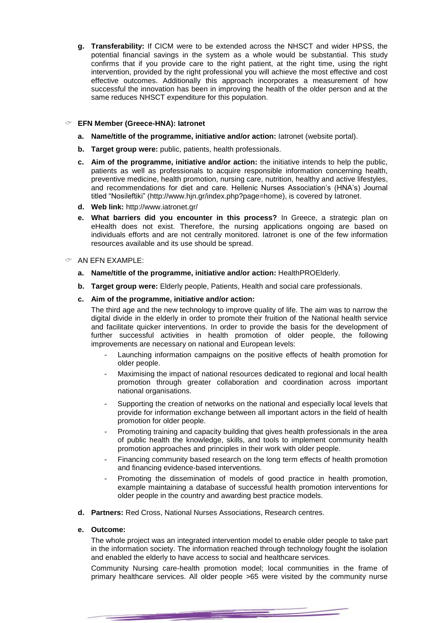**g. Transferability:** If CICM were to be extended across the NHSCT and wider HPSS, the potential financial savings in the system as a whole would be substantial. This study confirms that if you provide care to the right patient, at the right time, using the right intervention, provided by the right professional you will achieve the most effective and cost effective outcomes. Additionally this approach incorporates a measurement of how successful the innovation has been in improving the health of the older person and at the same reduces NHSCT expenditure for this population.

## **EFN Member (Greece-HNA): Iatronet**

- **a. Name/title of the programme, initiative and/or action:** Iatronet (website portal).
- **b. Target group were:** public, patients, health professionals.
- **c. Aim of the programme, initiative and/or action:** the initiative intends to help the public, patients as well as professionals to acquire responsible information concerning health, preventive medicine, health promotion, nursing care, nutrition, healthy and active lifestyles, and recommendations for diet and care. Hellenic Nurses Association"s (HNA"s) Journal titled "Nosileftiki" [\(http://www.hjn.gr/index.php?page=home\)](http://www.hjn.gr/index.php?page=home), is covered by Iatronet.
- **d. Web link:** http://www.iatronet.gr/
- **e. What barriers did you encounter in this process?** In Greece, a strategic plan on eHealth does not exist. Therefore, the nursing applications ongoing are based on individuals efforts and are not centrally monitored. Iatronet is one of the few information resources available and its use should be spread.

## $\circ$  AN EFN EXAMPLE:

- **a. Name/title of the programme, initiative and/or action:** HealthPROElderly.
- **b. Target group were:** Elderly people, Patients, Health and social care professionals.

## **c. Aim of the programme, initiative and/or action:**

The third age and the new technology to improve quality of life. The aim was to narrow the digital divide in the elderly in order to promote their fruition of the National health service and facilitate quicker interventions. In order to provide the basis for the development of further successful activities in health promotion of older people, the following improvements are necessary on national and European levels:

- Launching information campaigns on the positive effects of health promotion for older people.
- Maximising the impact of national resources dedicated to regional and local health promotion through greater collaboration and coordination across important national organisations.
- Supporting the creation of networks on the national and especially local levels that provide for information exchange between all important actors in the field of health promotion for older people.
- Promoting training and capacity building that gives health professionals in the area of public health the knowledge, skills, and tools to implement community health promotion approaches and principles in their work with older people.
- Financing community based research on the long term effects of health promotion and financing evidence-based interventions.
- Promoting the dissemination of models of good practice in health promotion, example maintaining a database of successful health promotion interventions for older people in the country and awarding best practice models.
- **d. Partners:** Red Cross, National Nurses Associations, Research centres.

#### **e. Outcome:**

The whole project was an integrated intervention model to enable older people to take part in the information society. The information reached through technology fought the isolation and enabled the elderly to have access to social and healthcare services.

Community Nursing care-health promotion model; local communities in the frame of primary healthcare services. All older people >65 were visited by the community nurse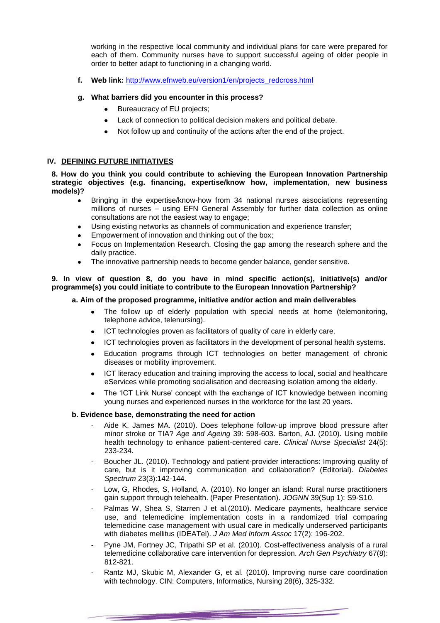working in the respective local community and individual plans for care were prepared for each of them. Community nurses have to support successful ageing of older people in order to better adapt to functioning in a changing world.

**f. Web link:** [http://www.efnweb.eu/version1/en/projects\\_redcross.html](http://www.efnweb.eu/version1/en/projects_redcross.html)

## **g. What barriers did you encounter in this process?**

- Bureaucracy of EU projects;
- Lack of connection to political decision makers and political debate.
- Not follow up and continuity of the actions after the end of the project.

## **IV. DEFINING FUTURE INITIATIVES**

**8. How do you think you could contribute to achieving the European Innovation Partnership strategic objectives (e.g. financing, expertise/know how, implementation, new business models)?**

- Bringing in the expertise/know-how from 34 national nurses associations representing millions of nurses – using EFN General Assembly for further data collection as online consultations are not the easiest way to engage;
- Using existing networks as channels of communication and experience transfer;
- Empowerment of innovation and thinking out of the box;
- Focus on Implementation Research. Closing the gap among the research sphere and the daily practice.
- The innovative partnership needs to become gender balance, gender sensitive.

#### **9. In view of question 8, do you have in mind specific action(s), initiative(s) and/or programme(s) you could initiate to contribute to the European Innovation Partnership?**

#### **a. Aim of the proposed programme, initiative and/or action and main deliverables**

- The follow up of elderly population with special needs at home (telemonitoring,  $\bullet$ telephone advice, telenursing).
- ICT technologies proven as facilitators of quality of care in elderly care.  $\bullet$
- ICT technologies proven as facilitators in the development of personal health systems.
- Education programs through ICT technologies on better management of chronic  $\bullet$ diseases or mobility improvement.
- ICT literacy education and training improving the access to local, social and healthcare eServices while promoting socialisation and decreasing isolation among the elderly.
- The 'ICT Link Nurse' concept with the exchange of ICT knowledge between incoming  $\bullet$ young nurses and experienced nurses in the workforce for the last 20 years.

#### **b. Evidence base, demonstrating the need for action**

- Aide K, James MA. (2010). Does telephone follow-up improve blood pressure after minor stroke or TIA? *Age and Ageing* 39: 598-603. Barton, AJ. (2010). Using mobile health technology to enhance patient-centered care. *Clinical Nurse Specialist* 24(5): 233-234.
- Boucher JL. (2010). Technology and patient-provider interactions: Improving quality of care, but is it improving communication and collaboration? (Editorial). *Diabetes Spectrum* 23(3):142-144.
- Low, G, Rhodes, S, Holland, A. (2010). No longer an island: Rural nurse practitioners gain support through telehealth. (Paper Presentation). *JOGNN* 39(Sup 1): S9-S10.
- Palmas W, Shea S, Starren J et al.(2010). Medicare payments, healthcare service use, and telemedicine implementation costs in a randomized trial comparing telemedicine case management with usual care in medically underserved participants with diabetes mellitus (IDEATel). *J Am Med Inform Assoc* 17(2): 196-202.
- Pyne JM, Fortney JC, Tripathi SP et al. (2010). Cost-effectiveness analysis of a rural telemedicine collaborative care intervention for depression. *Arch Gen Psychiatry* 67(8): 812-821.
- Rantz MJ, Skubic M, Alexander G, et al. (2010). Improving nurse care coordination with technology. CIN: Computers, Informatics, Nursing 28(6), 325-332.

and the company of the company of